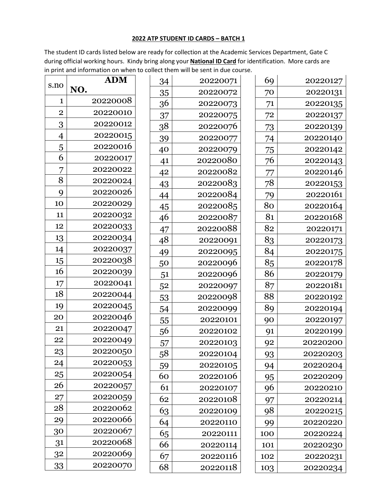## **2022 ATP STUDENT ID CARDS – BATCH 1**

The student ID cards listed below are ready for collection at the Academic Services Department, Gate C during official working hours. Kindy bring along your **National ID Card** for identification. More cards are in print and information on when to collect them will be sent in due course.

| s.no           | <b>ADM</b> | 34 | 20220071 | 69  | 20220127 |
|----------------|------------|----|----------|-----|----------|
|                | NO.        | 35 | 20220072 | 70  | 20220131 |
| $\mathbf{1}$   | 20220008   | 36 | 20220073 | 71  | 20220135 |
| $\overline{2}$ | 20220010   | 37 | 20220075 | 72  | 20220137 |
| 3              | 20220012   | 38 | 20220076 | 73  | 20220139 |
| 4              | 20220015   | 39 | 20220077 | 74  | 20220140 |
| 5              | 20220016   | 40 | 20220079 | 75  | 20220142 |
| 6              | 20220017   | 41 | 20220080 | 76  | 20220143 |
| 7              | 20220022   | 42 | 20220082 | 77  | 20220146 |
| 8              | 20220024   | 43 | 20220083 | 78  | 20220153 |
| 9              | 20220026   | 44 | 20220084 | 79  | 20220161 |
| 10             | 20220029   | 45 | 20220085 | 80  | 20220164 |
| 11             | 20220032   | 46 | 20220087 | 81  | 20220168 |
| 12             | 20220033   | 47 | 20220088 | 82  | 20220171 |
| 13             | 20220034   | 48 | 20220091 | 83  | 20220173 |
| 14             | 20220037   | 49 | 20220095 | 84  | 20220175 |
| 15             | 20220038   | 50 | 20220096 | 85  | 20220178 |
| 16             | 20220039   | 51 | 20220096 | 86  | 20220179 |
| 17             | 20220041   | 52 | 20220097 | 87  | 20220181 |
| 18             | 20220044   | 53 | 20220098 | 88  | 20220192 |
| 19             | 20220045   | 54 | 20220099 | 89  | 20220194 |
| 20             | 20220046   | 55 | 20220101 | 90  | 20220197 |
| 21             | 20220047   | 56 | 20220102 | 91  | 20220199 |
| 22             | 20220049   | 57 | 20220103 | 92  | 20220200 |
| 23             | 20220050   | 58 | 20220104 | 93  | 20220203 |
| 24             | 20220053   | 59 | 20220105 | 94  | 20220204 |
| 25             | 20220054   | 60 | 20220106 | 95  | 20220209 |
| 26             | 20220057   | 61 | 20220107 | 96  | 20220210 |
| 27             | 20220059   | 62 | 20220108 | 97  | 20220214 |
| 28             | 20220062   | 63 | 20220109 | 98  | 20220215 |
| 29             | 20220066   | 64 | 20220110 | 99  | 20220220 |
| 30             | 20220067   | 65 | 20220111 | 100 | 20220224 |
| 31             | 20220068   | 66 | 20220114 | 101 | 20220230 |
| 32             | 20220069   | 67 | 20220116 | 102 | 20220231 |
| 33             | 20220070   | 68 | 20220118 | 103 | 20220234 |
|                |            |    |          |     |          |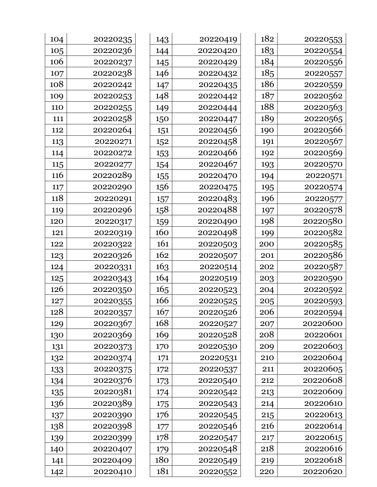| 182 | 20220553 |
|-----|----------|
| 183 | 20220554 |
| 184 | 20220556 |
| 185 | 20220557 |
| 186 | 20220559 |
| 187 | 20220562 |
| 188 | 20220563 |
| 189 | 20220565 |
| 190 | 20220566 |
| 191 | 20220567 |
| 192 | 20220569 |
| 193 | 20220570 |
| 194 | 20220571 |
| 195 | 20220574 |
| 196 | 20220577 |
| 197 | 20220578 |
| 198 | 20220580 |
| 199 | 20220582 |
| 200 | 20220585 |
| 201 | 20220586 |
| 202 | 20220587 |
| 203 | 20220590 |
| 204 | 20220592 |
| 205 | 20220593 |
| 206 | 20220594 |
| 207 | 20220600 |
| 208 | 20220601 |
| 209 | 20220603 |
| 210 | 20220604 |
| 211 | 20220605 |
| 212 | 20220608 |
| 213 | 20220609 |
| 214 | 20220610 |
| 215 | 20220613 |
| 216 | 20220614 |
| 217 | 20220615 |
| 218 | 20220616 |
| 219 | 20220618 |
| 220 | 20220620 |

| 143 | 20220419 |  |  |
|-----|----------|--|--|
| 144 | 20220420 |  |  |
| 145 | 20220429 |  |  |
| 146 | 20220432 |  |  |
| 147 | 20220435 |  |  |
| 148 | 20220442 |  |  |
| 149 | 20220444 |  |  |
| 150 | 20220447 |  |  |
| 151 | 20220456 |  |  |
| 152 | 20220458 |  |  |
| 153 | 20220466 |  |  |
| 154 | 20220467 |  |  |
| 155 | 20220470 |  |  |
| 156 | 20220475 |  |  |
| 157 | 20220483 |  |  |
| 158 | 20220488 |  |  |
| 159 | 20220490 |  |  |
| 160 | 20220498 |  |  |
| 161 | 20220503 |  |  |
| 162 | 20220507 |  |  |
| 163 | 20220514 |  |  |
| 164 | 20220519 |  |  |
| 165 | 20220523 |  |  |
| 166 | 20220525 |  |  |
| 167 | 20220526 |  |  |
| 168 | 20220527 |  |  |
| 169 | 20220528 |  |  |
| 170 | 20220530 |  |  |
| 171 | 20220531 |  |  |
| 172 | 20220537 |  |  |
| 173 | 20220540 |  |  |
| 174 | 20220542 |  |  |
| 175 | 20220543 |  |  |
| 176 | 20220545 |  |  |
| 177 | 20220546 |  |  |
| 178 | 20220547 |  |  |
| 179 | 20220548 |  |  |
| 180 | 20220549 |  |  |
| 181 | 20220552 |  |  |

| 104 | 20220235 |
|-----|----------|
| 105 | 20220236 |
| 106 | 20220237 |
| 107 | 20220238 |
| 108 | 20220242 |
| 109 | 20220253 |
| 110 | 20220255 |
| 111 | 20220258 |
| 112 | 20220264 |
| 113 | 20220271 |
| 114 | 20220272 |
| 115 | 20220277 |
| 116 | 20220289 |
| 117 | 20220290 |
| 118 | 20220291 |
| 119 | 20220296 |
| 120 | 20220317 |
| 121 | 20220319 |
| 122 | 20220322 |
| 123 | 20220326 |
| 124 | 20220331 |
| 125 | 20220343 |
| 126 | 20220350 |
| 127 | 20220355 |
| 128 | 20220357 |
| 129 | 20220367 |
| 130 | 20220369 |
| 131 | 20220373 |
| 132 | 20220374 |
| 133 | 20220375 |
| 134 | 20220376 |
| 135 | 20220381 |
| 136 | 20220389 |
| 137 | 20220390 |
| 138 | 20220398 |
| 139 | 20220399 |
| 140 | 20220407 |
| 141 | 20220409 |
| 142 | 20220410 |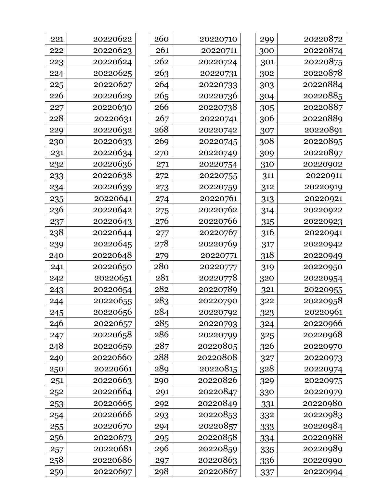| 299 | 20220872 |
|-----|----------|
| 300 | 20220874 |
| 301 | 20220875 |
| 302 | 20220878 |
| 303 | 20220884 |
| 304 | 20220885 |
| 305 | 20220887 |
| 306 | 20220889 |
| 307 | 20220891 |
| 308 | 20220895 |
| 309 | 20220897 |
| 310 | 20220902 |
| 311 | 20220911 |
| 312 | 20220919 |
| 313 | 20220921 |
| 314 | 20220922 |
| 315 | 20220923 |
| 316 | 20220941 |
| 317 | 20220942 |
| 318 | 20220949 |
| 319 | 20220950 |
| 320 | 20220954 |
| 321 | 20220955 |
| 322 | 20220958 |
| 323 | 20220961 |
| 324 | 20220966 |
| 325 | 20220968 |
| 326 | 20220970 |
| 327 | 20220973 |
| 328 | 20220974 |
| 329 | 20220975 |
| 330 | 20220979 |
| 331 | 20220980 |
| 332 | 20220983 |
| 333 | 20220984 |
| 334 | 20220988 |
| 335 | 20220989 |
| 336 | 20220990 |
| 337 | 20220994 |
|     |          |

| 260 | 20220710 |
|-----|----------|
| 261 | 20220711 |
| 262 | 20220724 |
| 263 | 20220731 |
| 264 | 20220733 |
| 265 | 20220736 |
| 266 | 20220738 |
| 267 | 20220741 |
| 268 | 20220742 |
| 269 | 20220745 |
| 270 | 20220749 |
| 271 | 20220754 |
| 272 | 20220755 |
| 273 | 20220759 |
| 274 | 20220761 |
| 275 | 20220762 |
| 276 | 20220766 |
| 277 | 20220767 |
| 278 | 20220769 |
| 279 | 20220771 |
| 280 | 20220777 |
| 281 | 20220778 |
| 282 | 20220789 |
| 283 | 20220790 |
| 284 | 20220792 |
| 285 | 20220793 |
| 286 | 20220799 |
| 287 | 20220805 |
| 288 | 20220808 |
| 289 | 20220815 |
| 290 | 20220826 |
| 291 | 20220847 |
| 292 | 20220849 |
| 293 | 20220853 |
| 294 | 20220857 |
| 295 | 20220858 |
| 296 | 20220859 |
| 297 | 20220863 |
| 298 | 20220867 |

| 221 | 20220622 |
|-----|----------|
| 222 | 20220623 |
| 223 | 20220624 |
| 224 | 20220625 |
| 225 | 20220627 |
| 226 | 20220629 |
| 227 | 20220630 |
| 228 | 20220631 |
| 229 | 20220632 |
| 230 | 20220633 |
| 231 | 20220634 |
| 232 | 20220636 |
| 233 | 20220638 |
| 234 | 20220639 |
| 235 | 20220641 |
| 236 | 20220642 |
| 237 | 20220643 |
| 238 | 20220644 |
| 239 | 20220645 |
| 240 | 20220648 |
| 241 | 20220650 |
| 242 | 20220651 |
| 243 | 20220654 |
| 244 | 20220655 |
| 245 | 20220656 |
| 246 | 20220657 |
| 247 | 20220658 |
| 248 | 20220659 |
| 249 | 20220660 |
| 250 | 20220661 |
| 251 | 20220663 |
| 252 | 20220664 |
| 253 | 20220665 |
| 254 | 20220666 |
| 255 | 20220670 |
| 256 | 20220673 |
| 257 | 20220681 |
| 258 | 20220686 |
| 259 | 20220697 |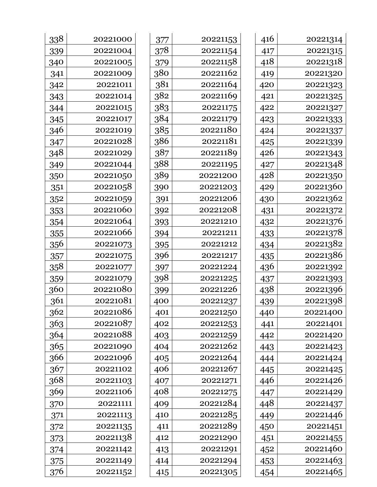| 416 | 20221314 |
|-----|----------|
| 417 | 20221315 |
| 418 | 20221318 |
| 419 | 20221320 |
| 420 | 20221323 |
| 421 | 20221325 |
| 422 | 20221327 |
| 423 | 20221333 |
| 424 | 20221337 |
| 425 | 20221339 |
| 426 | 20221343 |
| 427 | 20221348 |
| 428 | 20221350 |
| 429 | 20221360 |
| 430 | 20221362 |
| 431 | 20221372 |
| 432 | 20221376 |
| 433 | 20221378 |
| 434 | 20221382 |
| 435 | 20221386 |
| 436 | 20221392 |
| 437 | 20221393 |
| 438 | 20221396 |
| 439 | 20221398 |
| 440 | 20221400 |
| 441 | 20221401 |
| 442 | 20221420 |
| 443 | 20221423 |
| 444 | 20221424 |
| 445 | 20221425 |
| 446 | 20221426 |
| 447 | 20221429 |
| 448 | 20221437 |
| 449 | 20221446 |
| 450 | 20221451 |
| 451 | 20221455 |
| 452 | 20221460 |
| 453 | 20221463 |
| 454 | 20221465 |

| 377 | 20221153 |
|-----|----------|
| 378 | 20221154 |
| 379 | 20221158 |
| 380 | 20221162 |
| 381 | 20221164 |
| 382 | 20221169 |
| 383 | 20221175 |
| 384 | 20221179 |
| 385 | 20221180 |
| 386 | 20221181 |
| 387 | 20221189 |
| 388 | 20221195 |
| 389 | 20221200 |
| 390 | 20221203 |
| 391 | 20221206 |
| 392 | 20221208 |
| 393 | 20221210 |
| 394 | 20221211 |
| 395 | 20221212 |
| 396 | 20221217 |
| 397 | 20221224 |
| 398 | 20221225 |
| 399 | 20221226 |
| 400 | 20221237 |
| 401 | 20221250 |
| 402 | 20221253 |
| 403 | 20221259 |
| 404 | 20221262 |
| 405 | 20221264 |
| 406 | 20221267 |
| 407 | 20221271 |
| 408 | 20221275 |
| 409 | 20221284 |
| 410 | 20221285 |
| 411 | 20221289 |
| 412 | 20221290 |
| 413 | 20221291 |
| 414 | 20221294 |
| 415 | 20221305 |

| 338         | 20221000 |
|-------------|----------|
| 339         | 20221004 |
| 340         | 20221005 |
| 341         | 20221009 |
| 342         | 20221011 |
| 343         | 20221014 |
| 344         | 20221015 |
| 345         | 20221017 |
| 346         | 20221019 |
| 347         | 20221028 |
| 348         | 20221029 |
| 349         | 20221044 |
| 350         | 20221050 |
| 351         | 20221058 |
| 352         | 20221059 |
| 353         | 20221060 |
| 354         | 20221064 |
| 355         | 20221066 |
| 356         | 20221073 |
| 357         | 20221075 |
| <u>3</u> 58 | 20221077 |
| 359         | 20221079 |
| 360         | 20221080 |
| 361         | 20221081 |
| 362         | 20221086 |
| 363         | 20221087 |
| 364         | 20221088 |
| 365         | 20221090 |
| 366         | 20221096 |
| 367         | 20221102 |
| 368         | 20221103 |
| 369         | 20221106 |
| 370         | 20221111 |
| 371         | 20221113 |
| 372         | 20221135 |
| 373         | 20221138 |
| 374         | 20221142 |
| 375         | 20221149 |
| 376         | 20221152 |